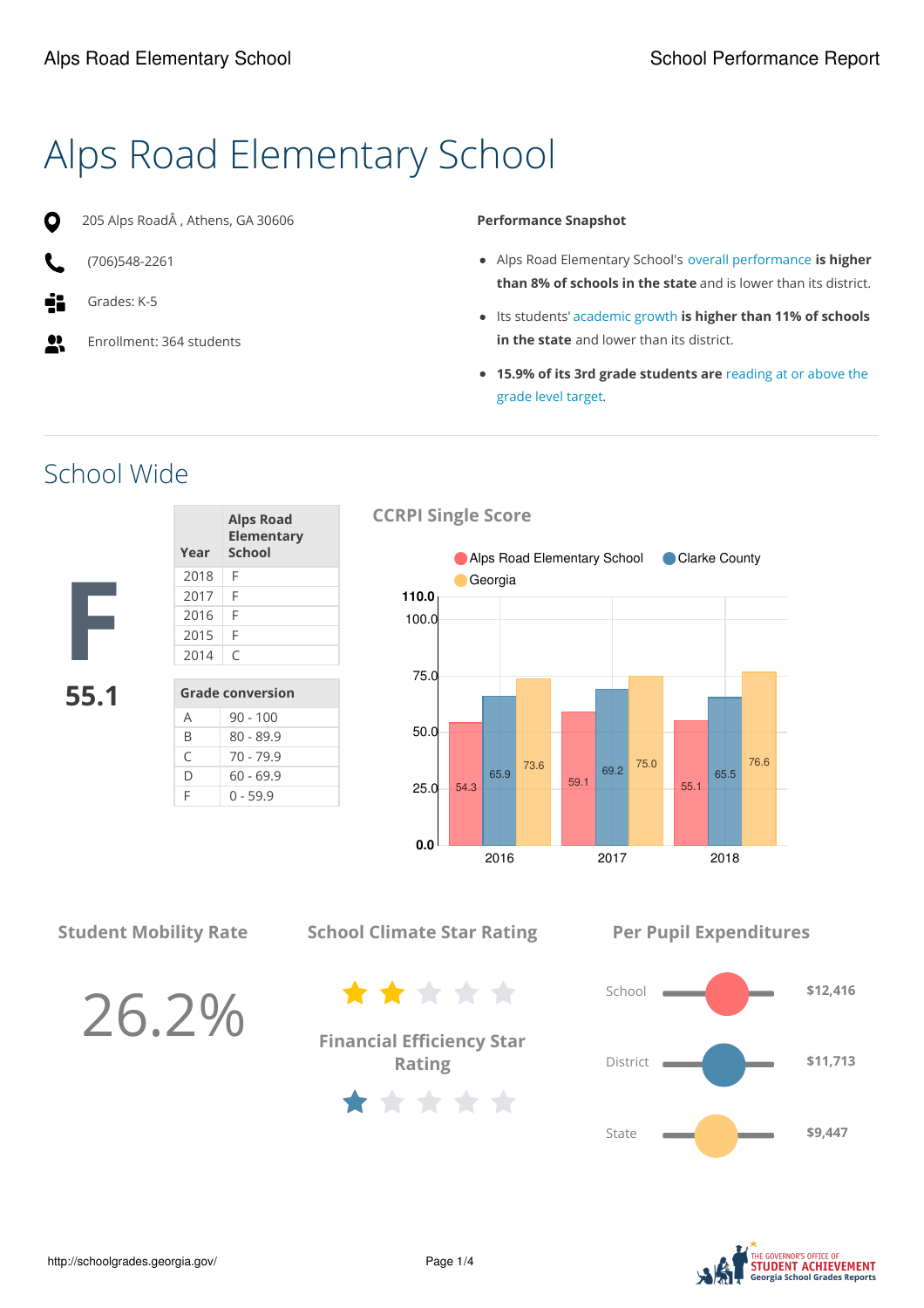# Alps Road Elementary School



205 Alps RoadÂ , Athens, GA 30606

- (706)548-2261
- Grades: K-5
- $\bullet\bullet$ Enrollment: 364 students

#### **Performance Snapshot**

- Alps Road Elementary School's overall performance **is higher than 8% of schools in the state** and is lower than its district.
- Its students' academic growth **is higher than 11% of schools in the state** and lower than its district.
- **15.9% of its 3rd grade students are** reading at or above the grade level target.

School Wide

| 5 | 5 <sub>1</sub> |  |
|---|----------------|--|

| Year                    | <b>Alps Road</b><br>Elementary<br><b>School</b> |  |
|-------------------------|-------------------------------------------------|--|
| 2018                    | F                                               |  |
| 2017                    | F                                               |  |
| 2016                    | F                                               |  |
| 2015                    | F                                               |  |
| 2014                    | C                                               |  |
|                         |                                                 |  |
| <b>Grade conversion</b> |                                                 |  |
|                         | $90 - 100$                                      |  |

B 80 - 89.9  $C$  70 - 79.9  $D = 60 - 69.9$  $F \t 0 - 59.9$ 

#### **CCRPI Single Score**



**Student Mobility Rate**

26.2%

**School Climate Star Rating**

**Financial Efficiency Star Rating**

\*\*\*\*\*

\*\*\*\*\*

**Per Pupil Expenditures**



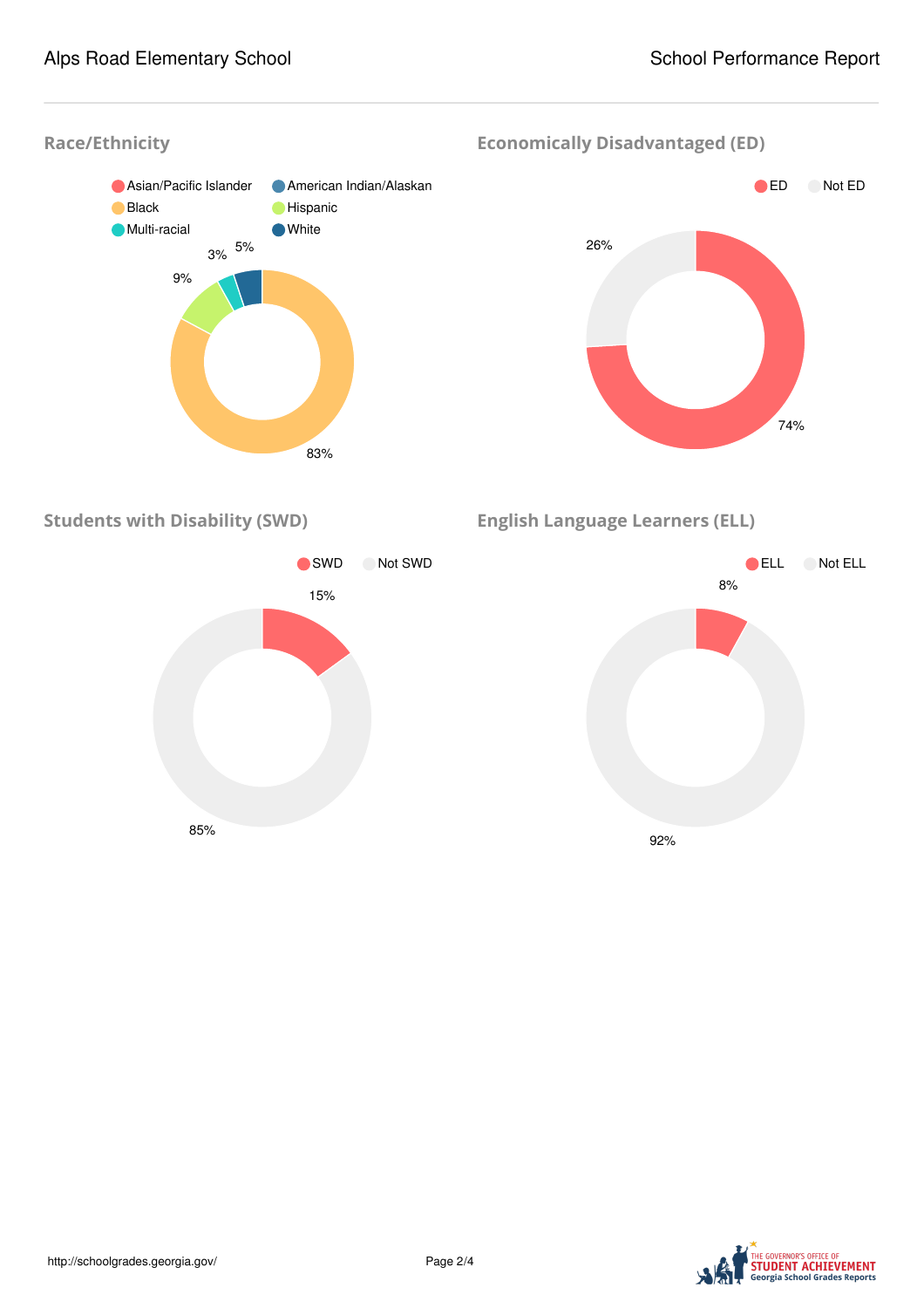



**Economically Disadvantaged (ED)**



**Students with Disability (SWD)**



**English Language Learners (ELL)**



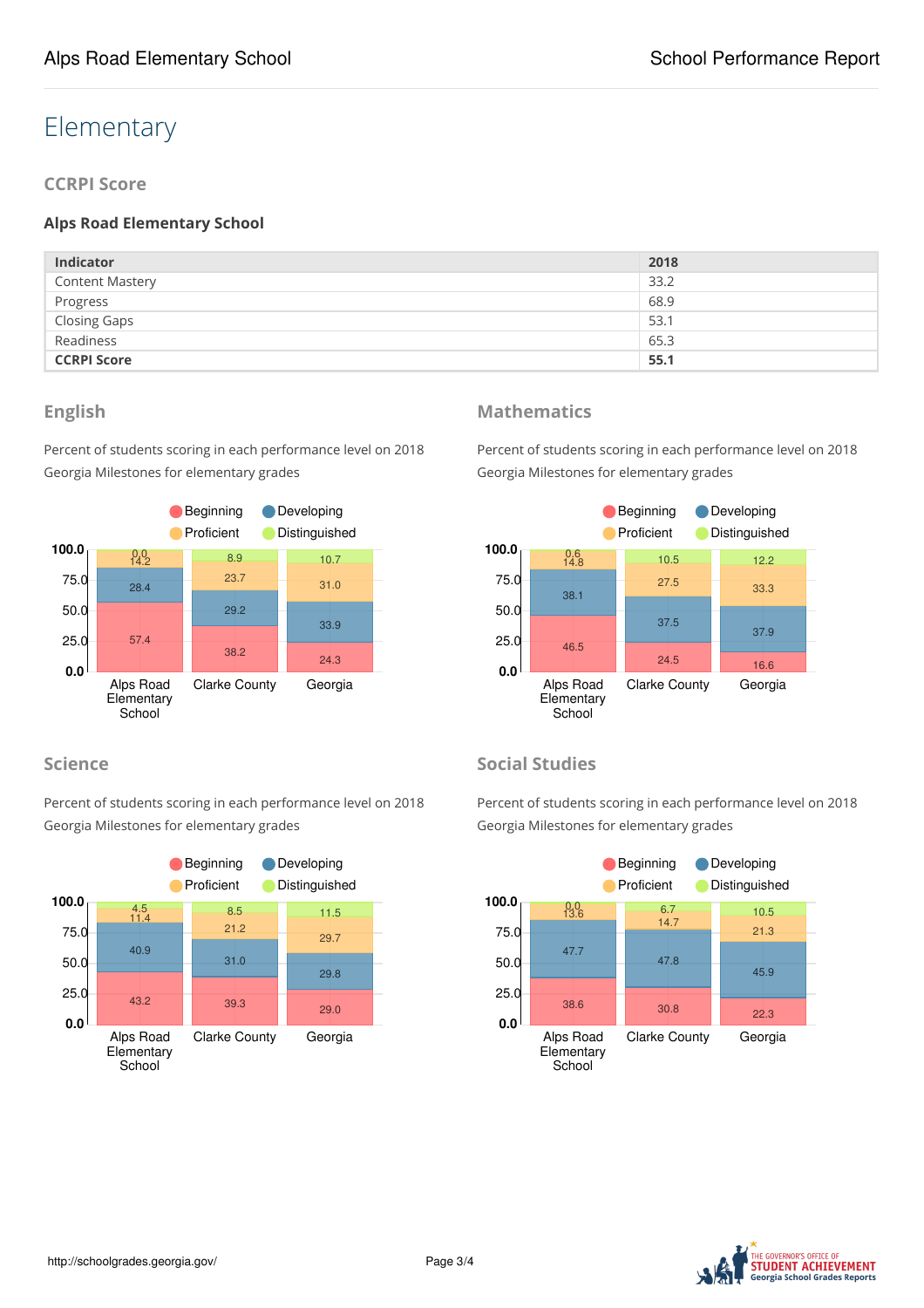## Elementary

**CCRPI Score**

#### **Alps Road Elementary School**

| <b>Indicator</b>       | 2018 |
|------------------------|------|
| <b>Content Mastery</b> | 33.2 |
| Progress               | 68.9 |
| <b>Closing Gaps</b>    | 53.1 |
| Readiness              | 65.3 |
| <b>CCRPI Score</b>     | 55.1 |

#### **English**

Percent of students scoring in each performance level on 2018 Georgia Milestones for elementary grades



#### **Science**

Percent of students scoring in each performance level on 2018 Georgia Milestones for elementary grades



#### **Mathematics**

Percent of students scoring in each performance level on 2018 Georgia Milestones for elementary grades



#### **Social Studies**

Percent of students scoring in each performance level on 2018 Georgia Milestones for elementary grades